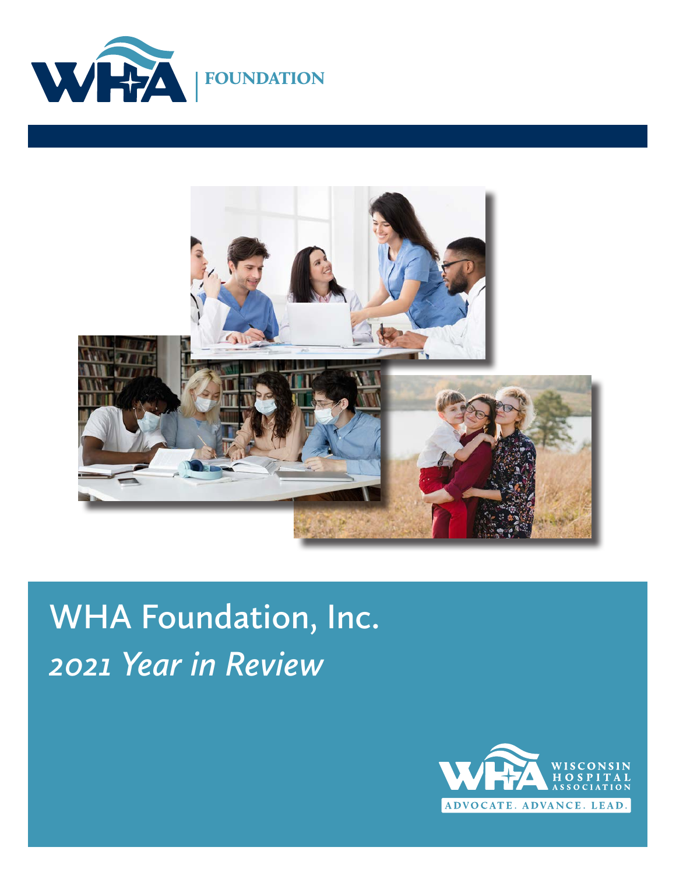



# **WHA Foundation, Inc.** *2021 Year in Review*

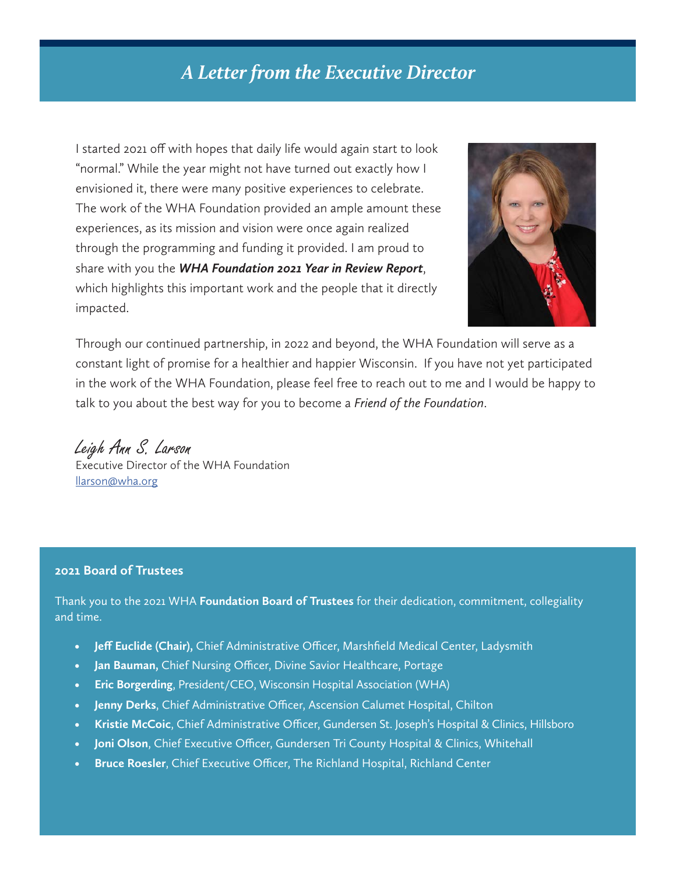### *A Letter from the Executive Director*

I started 2021 off with hopes that daily life would again start to look "normal." While the year might not have turned out exactly how I envisioned it, there were many positive experiences to celebrate. The work of the WHA Foundation provided an ample amount these experiences, as its mission and vision were once again realized through the programming and funding it provided. I am proud to share with you the *WHA Foundation 2021 Year in Review Report*, which highlights this important work and the people that it directly impacted.



Through our continued partnership, in 2022 and beyond, the WHA Foundation will serve as a constant light of promise for a healthier and happier Wisconsin. If you have not yet participated in the work of the WHA Foundation, please feel free to reach out to me and I would be happy to talk to you about the best way for you to become a *Friend of the Foundation*.

Leigh Ann S. Larson

Executive Director of the WHA Foundation [llarson@wha.org](mailto:llarson@wha.org)

#### **2021 Board of Trustees**

Thank you to the 2021 WHA **Foundation Board of Trustees** for their dedication, commitment, collegiality and time.

- **• Jeff Euclide (Chair),** Chief Administrative Officer, Marshfield Medical Center, Ladysmith
- **• Jan Bauman,** Chief Nursing Officer, Divine Savior Healthcare, Portage
- **• Eric Borgerding**, President/CEO, Wisconsin Hospital Association (WHA)
- **• Jenny Derks**, Chief Administrative Officer, Ascension Calumet Hospital, Chilton
- **• Kristie McCoic**, Chief Administrative Officer, Gundersen St. Joseph's Hospital & Clinics, Hillsboro
- **• Joni Olson**, Chief Executive Officer, Gundersen Tri County Hospital & Clinics, Whitehall
- **• Bruce Roesler**, Chief Executive Officer, The Richland Hospital, Richland Center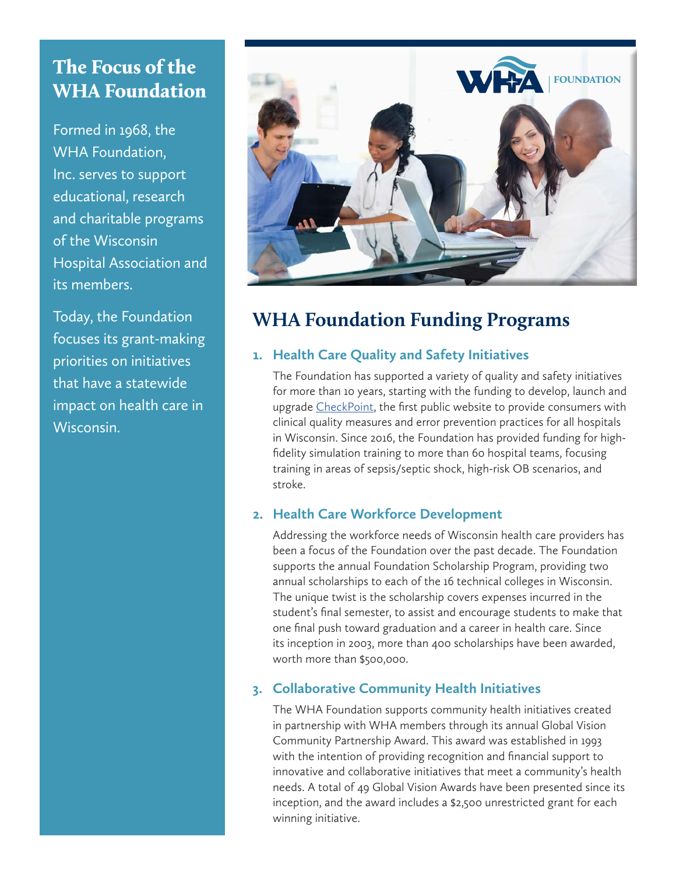### The Focus of the WHA Foundation

Formed in 1968, the WHA Foundation, Inc. serves to support educational, research and charitable programs of the Wisconsin Hospital Association and its members.

Today, the Foundation focuses its grant-making priorities on initiatives that have a statewide impact on health care in Wisconsin.



### **WHA Foundation Funding Programs**

#### **1. Health Care Quality and Safety Initiatives**

The Foundation has supported a variety of quality and safety initiatives for more than 10 years, starting with the funding to develop, launch and upgrade [CheckPoint](https://checkpoint.wha.org/?state=wi), the first public website to provide consumers with clinical quality measures and error prevention practices for all hospitals in Wisconsin. Since 2016, the Foundation has provided funding for highfidelity simulation training to more than 60 hospital teams, focusing training in areas of sepsis/septic shock, high-risk OB scenarios, and stroke.

#### **2. Health Care Workforce Development**

Addressing the workforce needs of Wisconsin health care providers has been a focus of the Foundation over the past decade. The Foundation supports the annual Foundation Scholarship Program, providing two annual scholarships to each of the 16 technical colleges in Wisconsin. The unique twist is the scholarship covers expenses incurred in the student's final semester, to assist and encourage students to make that one final push toward graduation and a career in health care. Since its inception in 2003, more than 400 scholarships have been awarded, worth more than \$500,000.

#### **3. Collaborative Community Health Initiatives**

The WHA Foundation supports community health initiatives created in partnership with WHA members through its annual Global Vision Community Partnership Award. This award was established in 1993 with the intention of providing recognition and financial support to innovative and collaborative initiatives that meet a community's health needs. A total of 49 Global Vision Awards have been presented since its inception, and the award includes a \$2,500 unrestricted grant for each winning initiative.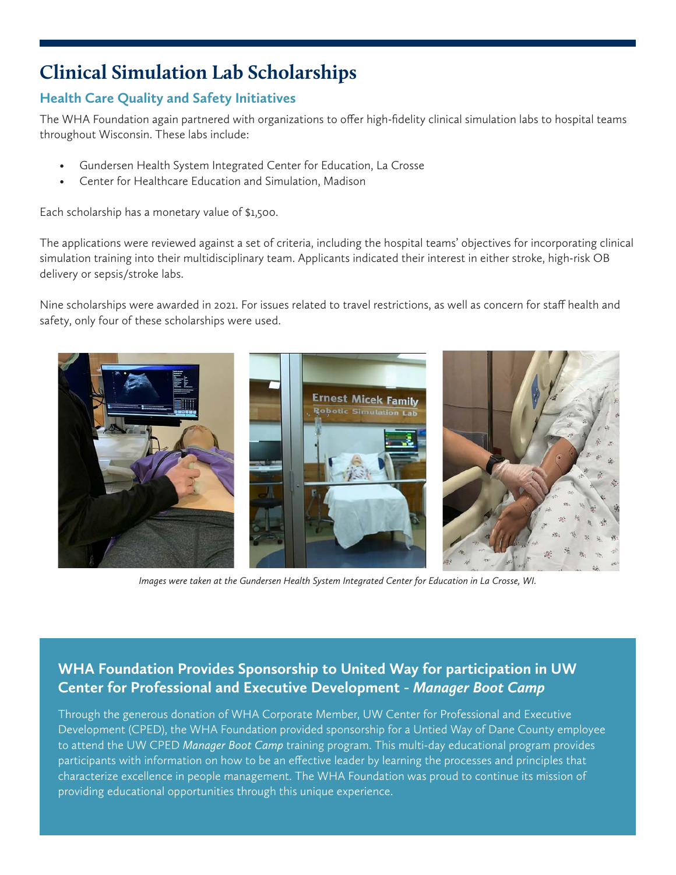### **Clinical Simulation Lab Scholarships**

#### **Health Care Quality and Safety Initiatives**

The WHA Foundation again partnered with organizations to offer high-fidelity clinical simulation labs to hospital teams throughout Wisconsin. These labs include:

- Gundersen Health System Integrated Center for Education, La Crosse
- Center for Healthcare Education and Simulation, Madison

Each scholarship has a monetary value of \$1,500.

The applications were reviewed against a set of criteria, including the hospital teams' objectives for incorporating clinical simulation training into their multidisciplinary team. Applicants indicated their interest in either stroke, high-risk OB delivery or sepsis/stroke labs.

Nine scholarships were awarded in 2021. For issues related to travel restrictions, as well as concern for staff health and safety, only four of these scholarships were used.



*Images were taken at the Gundersen Health System Integrated Center for Education in La Crosse, WI.* 

#### **WHA Foundation Provides Sponsorship to United Way for participation in UW Center for Professional and Executive Development -** *Manager Boot Camp*

Through the generous donation of WHA Corporate Member, UW Center for Professional and Executive Development (CPED), the WHA Foundation provided sponsorship for a Untied Way of Dane County employee to attend the UW CPED *Manager Boot Camp* training program. This multi-day educational program provides participants with information on how to be an effective leader by learning the processes and principles that characterize excellence in people management. The WHA Foundation was proud to continue its mission of providing educational opportunities through this unique experience.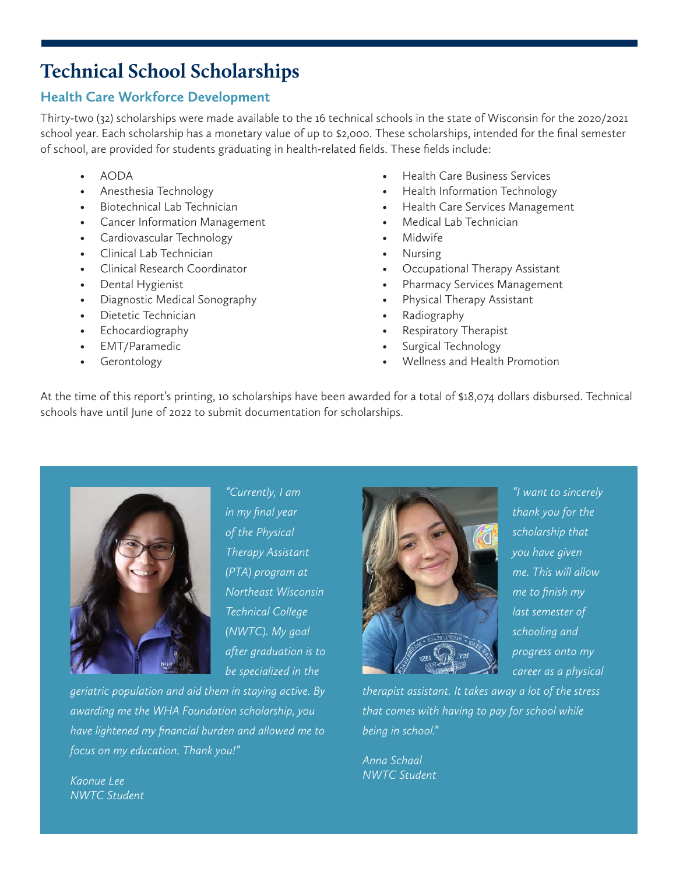### **Technical School Scholarships**

#### **Health Care Workforce Development**

Thirty-two (32) scholarships were made available to the 16 technical schools in the state of Wisconsin for the 2020/2021 school year. Each scholarship has a monetary value of up to \$2,000. These scholarships, intended for the final semester of school, are provided for students graduating in health-related fields. These fields include:

- AODA
- Anesthesia Technology
- Biotechnical Lab Technician
- Cancer Information Management
- Cardiovascular Technology
- Clinical Lab Technician
- Clinical Research Coordinator
- Dental Hygienist
- Diagnostic Medical Sonography
- Dietetic Technician
- Echocardiography
- EMT/Paramedic
- **Gerontology**
- Health Care Business Services
- Health Information Technology
- Health Care Services Management
- Medical Lab Technician
- Midwife
- Nursing
- Occupational Therapy Assistant
- Pharmacy Services Management
- Physical Therapy Assistant
- Radiography
- Respiratory Therapist
- Surgical Technology
- Wellness and Health Promotion

At the time of this report's printing, 10 scholarships have been awarded for a total of \$18,074 dollars disbursed. Technical schools have until June of 2022 to submit documentation for scholarships.



*"Currently, I am in my final year of the Physical Therapy Assistant (PTA) program at Northeast Wisconsin Technical College (NWTC). My goal after graduation is to be specialized in the* 

*geriatric population and aid them in staying active. By awarding me the WHA Foundation scholarship, you have lightened my financial burden and allowed me to focus on my education. Thank you!"*



*"I want to sincerely thank you for the scholarship that you have given me. This will allow me to finish my last semester of schooling and progress onto my career as a physical* 

*therapist assistant. It takes away a lot of the stress that comes with having to pay for school while being in school."*

*Anna Schaal NWTC Student*

*Kaonue Lee NWTC Student*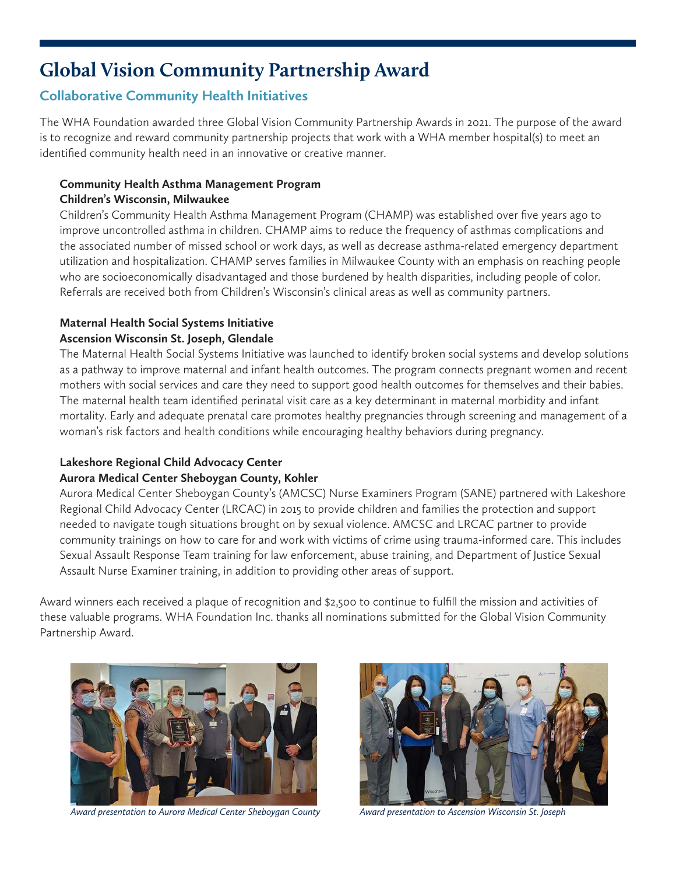### **Global Vision Community Partnership Award**

#### **Collaborative Community Health Initiatives**

The WHA Foundation awarded three Global Vision Community Partnership Awards in 2021. The purpose of the award is to recognize and reward community partnership projects that work with a WHA member hospital(s) to meet an identified community health need in an innovative or creative manner.

#### **Community Health Asthma Management Program Children's Wisconsin, Milwaukee**

Children's Community Health Asthma Management Program (CHAMP) was established over five years ago to improve uncontrolled asthma in children. CHAMP aims to reduce the frequency of asthmas complications and the associated number of missed school or work days, as well as decrease asthma-related emergency department utilization and hospitalization. CHAMP serves families in Milwaukee County with an emphasis on reaching people who are socioeconomically disadvantaged and those burdened by health disparities, including people of color. Referrals are received both from Children's Wisconsin's clinical areas as well as community partners.

#### **Maternal Health Social Systems Initiative**

#### **Ascension Wisconsin St. Joseph, Glendale**

The Maternal Health Social Systems Initiative was launched to identify broken social systems and develop solutions as a pathway to improve maternal and infant health outcomes. The program connects pregnant women and recent mothers with social services and care they need to support good health outcomes for themselves and their babies. The maternal health team identified perinatal visit care as a key determinant in maternal morbidity and infant mortality. Early and adequate prenatal care promotes healthy pregnancies through screening and management of a woman's risk factors and health conditions while encouraging healthy behaviors during pregnancy.

#### **Lakeshore Regional Child Advocacy Center**

#### **Aurora Medical Center Sheboygan County, Kohler**

Aurora Medical Center Sheboygan County's (AMCSC) Nurse Examiners Program (SANE) partnered with Lakeshore Regional Child Advocacy Center (LRCAC) in 2015 to provide children and families the protection and support needed to navigate tough situations brought on by sexual violence. AMCSC and LRCAC partner to provide community trainings on how to care for and work with victims of crime using trauma-informed care. This includes Sexual Assault Response Team training for law enforcement, abuse training, and Department of Justice Sexual Assault Nurse Examiner training, in addition to providing other areas of support.

Award winners each received a plaque of recognition and \$2,500 to continue to fulfill the mission and activities of these valuable programs. WHA Foundation Inc. thanks all nominations submitted for the Global Vision Community Partnership Award.



*Award presentation to Aurora Medical Center Sheboygan County Award presentation to Ascension Wisconsin St. Joseph*

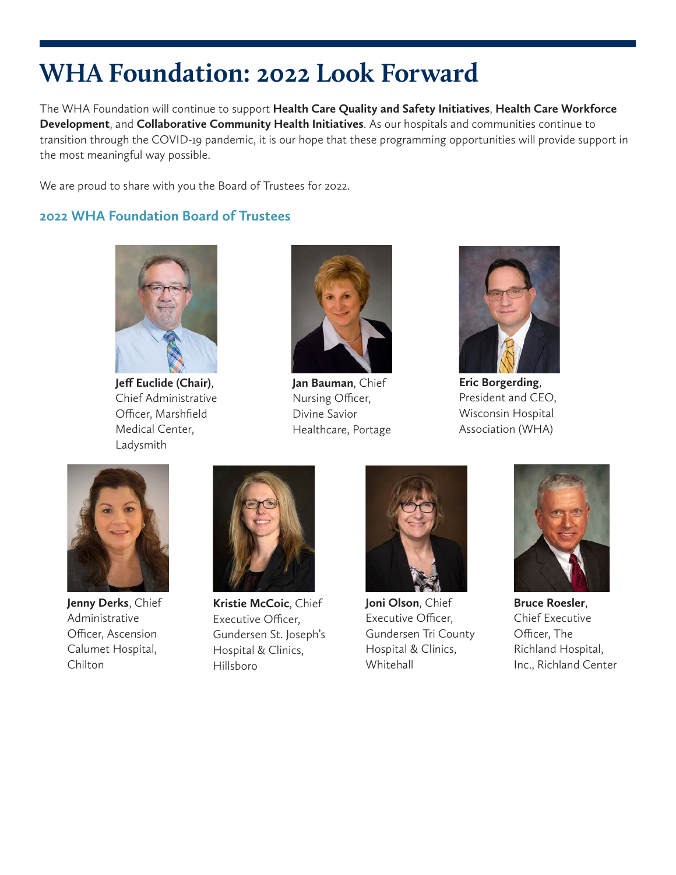## **WHA Foundation: 2022 Look Forward**

The WHA Foundation will continue to support **Health Care Quality and Safety Initiatives**, **Health Care Workforce Development**, and **Collaborative Community Health Initiatives**. As our hospitals and communities continue to transition through the COVID-19 pandemic, it is our hope that these programming opportunities will provide support in the most meaningful way possible.

We are proud to share with you the Board of Trustees for 2022.

#### **2022 WHA Foundation Board of Trustees**



**Jeff Euclide (Chair)**, Chief Administrative Officer, Marshfield Medical Center, Ladysmith



**Jan Bauman**, Chief Nursing Officer, Divine Savior Healthcare, Portage



**Eric Borgerding**, President and CEO, Wisconsin Hospital Association (WHA)



**Jenny Derks**, Chief Administrative Officer, Ascension Calumet Hospital, Chilton



**Kristie McCoic**, Chief Executive Officer, Gundersen St. Joseph's Hospital & Clinics, Hillsboro



**Joni Olson**, Chief Executive Officer, Gundersen Tri County Hospital & Clinics, Whitehall



**Bruce Roesler**, Chief Executive Officer, The Richland Hospital, Inc., Richland Center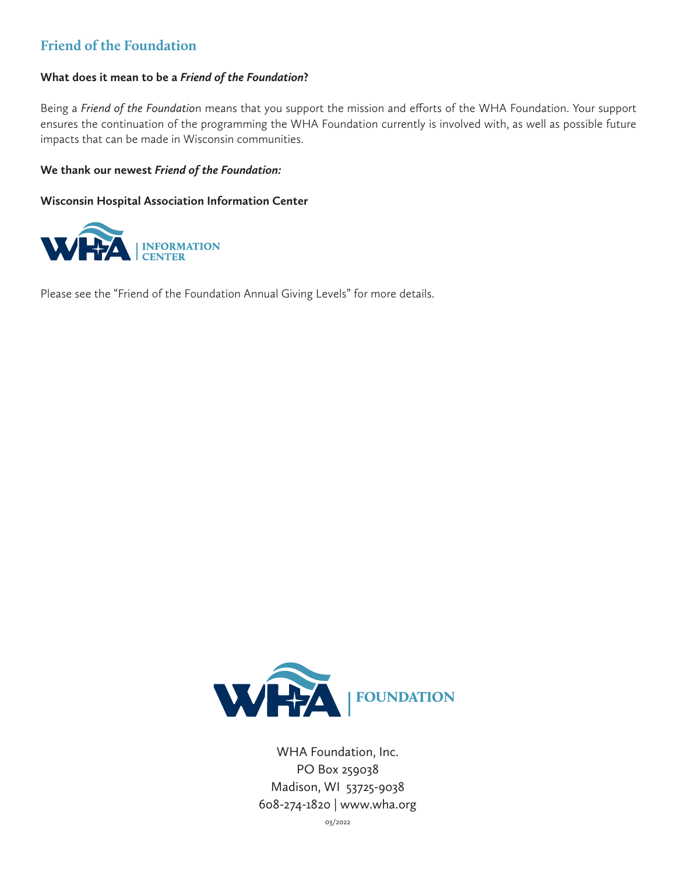#### **Friend of the Foundation**

#### **What does it mean to be a** *Friend of the Foundation***?**

Being a *Friend of the Foundatio*n means that you support the mission and efforts of the WHA Foundation. Your support ensures the continuation of the programming the WHA Foundation currently is involved with, as well as possible future impacts that can be made in Wisconsin communities.

#### **We thank our newest** *Friend of the Foundation:*

#### **Wisconsin Hospital Association Information Center**



Please see the "Friend of the Foundation Annual Giving Levels" for more details.



WHA Foundation, Inc. PO Box 259038 Madison, WI 53725-9038 608-274-1820 | www.wha.org

03/2022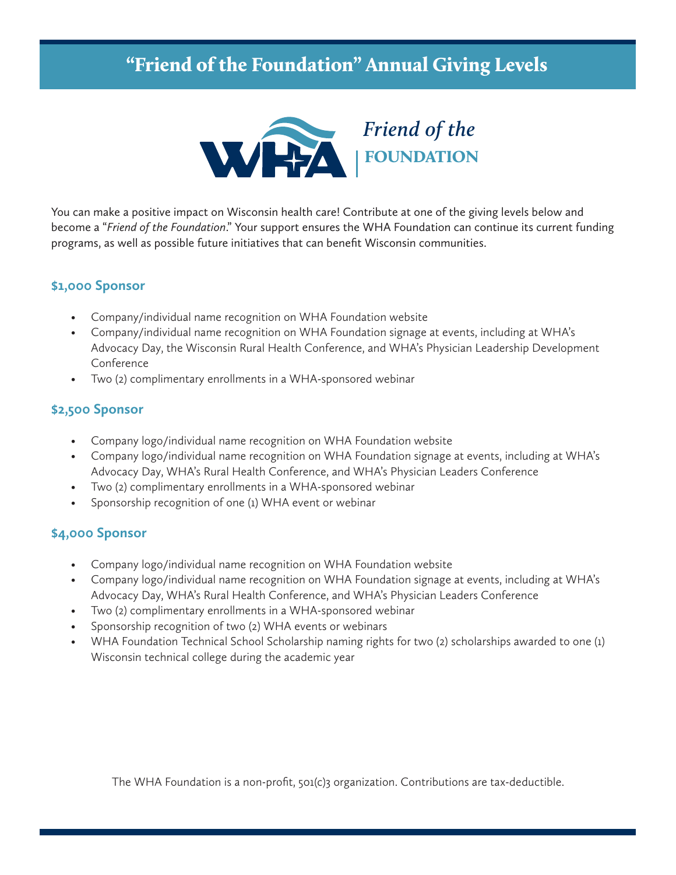### "Friend of the Foundation" Annual Giving Levels



You can make a positive impact on Wisconsin health care! Contribute at one of the giving levels below and become a "*Friend of the Foundation*." Your support ensures the WHA Foundation can continue its current funding programs, as well as possible future initiatives that can benefit Wisconsin communities.

#### **\$1,000 Sponsor**

- Company/individual name recognition on WHA Foundation website
- Company/individual name recognition on WHA Foundation signage at events, including at WHA's Advocacy Day, the Wisconsin Rural Health Conference, and WHA's Physician Leadership Development Conference
- Two (2) complimentary enrollments in a WHA-sponsored webinar

#### **\$2,500 Sponsor**

- Company logo/individual name recognition on WHA Foundation website
- Company logo/individual name recognition on WHA Foundation signage at events, including at WHA's Advocacy Day, WHA's Rural Health Conference, and WHA's Physician Leaders Conference
- Two (2) complimentary enrollments in a WHA-sponsored webinar
- Sponsorship recognition of one (1) WHA event or webinar

#### **\$4,000 Sponsor**

- Company logo/individual name recognition on WHA Foundation website
- Company logo/individual name recognition on WHA Foundation signage at events, including at WHA's Advocacy Day, WHA's Rural Health Conference, and WHA's Physician Leaders Conference
- Two (2) complimentary enrollments in a WHA-sponsored webinar
- Sponsorship recognition of two (2) WHA events or webinars
- WHA Foundation Technical School Scholarship naming rights for two (2) scholarships awarded to one (1) Wisconsin technical college during the academic year

The WHA Foundation is a non-profit, 501(c)3 organization. Contributions are tax-deductible.